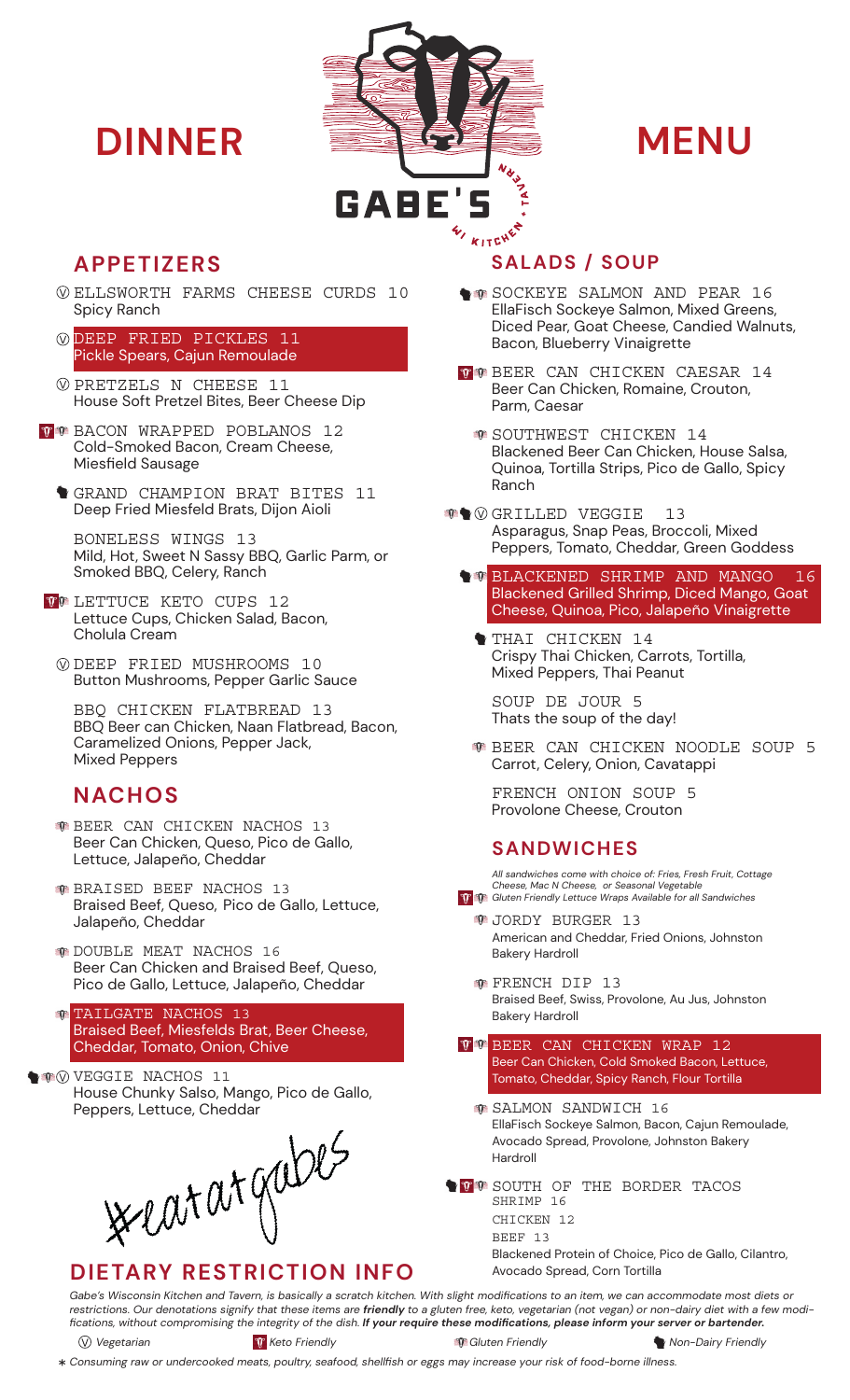



- ELLSWORTH FARMS CHEESE CURDS 10 Spicy Ranch
- DEEP FRIED PICKLES 11 Pickle Spears, Cajun Remoulade
- PRETZELS N CHEESE 11 House Soft Pretzel Bites, Beer Cheese Dip
- **WHO BACON WRAPPED POBLANOS 12** Cold-Smoked Bacon, Cream Cheese, Miesfield Sausage
	- GRAND CHAMPION BRAT BITES 11 Deep Fried Miesfeld Brats, Dijon Aioli

BONELESS WINGS 13 Mild, Hot, Sweet N Sassy BBQ, Garlic Parm, or Smoked BBQ, Celery, Ranch

- **TO LETTUCE KETO CUPS 12** Lettuce Cups, Chicken Salad, Bacon, Cholula Cream
	- DEEP FRIED MUSHROOMS 10 Button Mushrooms, Pepper Garlic Sauce

BBQ CHICKEN FLATBREAD 13 BBQ Beer can Chicken, Naan Flatbread, Bacon, Caramelized Onions, Pepper Jack, Mixed Peppers

# **NACHOS**

- **BEER CAN CHICKEN NACHOS 13** Beer Can Chicken, Queso, Pico de Gallo, Lettuce, Jalapeño, Cheddar
- BRAISED BEEF NACHOS 13 Braised Beef, Queso, Pico de Gallo, Lettuce, Jalapeño, Cheddar
- DOUBLE MEAT NACHOS 16 Beer Can Chicken and Braised Beef, Queso, Pico de Gallo, Lettuce, Jalapeño, Cheddar

TAILGATE NACHOS 13  $T$ Braised Beef, Miesfelds Brat, Beer Cheese, Cheddar, Tomato, Onion, Chive

**VEGGIE NACHOS 11** House Chunky Salso, Mango, Pico de Gallo, Peppers, Lettuce, Cheddar

**WELOT OF GODES** 

# **APPETIZERS SALADS / SOUP**

- SOCKEYE SALMON AND PEAR 16 EllaFisch Sockeye Salmon, Mixed Greens, Diced Pear, Goat Cheese, Candied Walnuts, Bacon, Blueberry Vinaigrette
- **THE BEER CAN CHICKEN CAESAR 14** Beer Can Chicken, Romaine, Crouton, Parm, Caesar
	- **SOUTHWEST CHICKEN 14** Blackened Beer Can Chicken, House Salsa, Quinoa, Tortilla Strips, Pico de Gallo, Spicy Ranch
- **GRILLED VEGGIE** 13 Asparagus, Snap Peas, Broccoli, Mixed Peppers, Tomato, Cheddar, Green Goddess
	- **BLACKENED SHRIMP AND MANGO 16** Blackened Grilled Shrimp, Diced Mango, Goat Cheese, Quinoa, Pico, Jalapeño Vinaigrette
		- THAI CHICKEN 14 Crispy Thai Chicken, Carrots, Tortilla, Mixed Peppers, Thai Peanut

SOUP DE JOUR 5 Thats the soup of the day!

BEER CAN CHICKEN NOODLE SOUP 5 Carrot, Celery, Onion, Cavatappi

FRENCH ONION SOUP 5 Provolone Cheese, Crouton

## **SANDWICHES**

*All sandwiches come with choice of: Fries, Fresh Fruit, Cottage Cheese, Mac N Cheese, or Seasonal Vegetable Gluten Friendly Lettuce Wraps Available for all Sandwiches*

- **<sup>1</sup>**JORDY BURGER 13 American and Cheddar, Fried Onions, Johnston Bakery Hardroll
- **T** FRENCH DIP 13 Braised Beef, Swiss, Provolone, Au Jus, Johnston Bakery Hardroll
- **TE BEER CAN CHICKEN WRAP 12** Beer Can Chicken, Cold Smoked Bacon, Lettuce, Tomato, Cheddar, Spicy Ranch, Flour Tortilla
	- **SALMON SANDWICH 16** EllaFisch Sockeye Salmon, Bacon, Cajun Remoulade, Avocado Spread, Provolone, Johnston Bakery Hardroll
- SOUTH OF THE BORDER TACOS SHRIMP 16 CHICKEN 12 BEEF 13

Blackened Protein of Choice, Pico de Gallo, Cilantro, Avocado Spread, Corn Tortilla

*Gabe's Wisconsin Kitchen and Tavern, is basically a scratch kitchen. With slight modifications to an item, we can accommodate most diets or restrictions. Our denotations signify that these items are friendly to a gluten free, keto, vegetarian (not vegan) or non-dairy diet with a few modifications, without compromising the integrity of the dish. If your require these modifications, please inform your server or bartender.* 

*Vegetarian Keto Friendly Gluten Friendly Non-Dairy Friendly*

*Consuming raw or undercooked meats, poultry, seafood, shellfish or eggs may increase your risk of food-borne illness.*